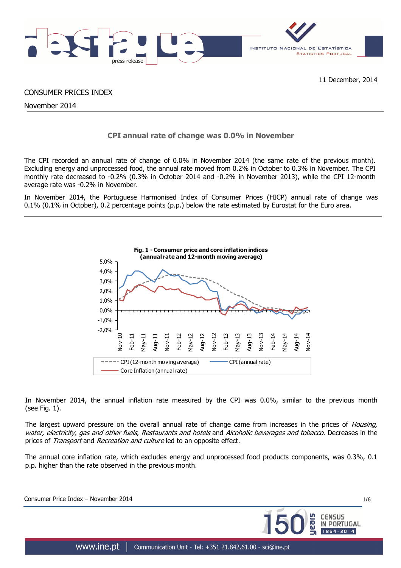

CONSUMER PRICES INDEX

November 2014

## **CPI annual rate of change was 0.0% in November**

The CPI recorded an annual rate of change of 0.0% in November 2014 (the same rate of the previous month). Excluding energy and unprocessed food, the annual rate moved from 0.2% in October to 0.3% in November. The CPI monthly rate decreased to -0.2% (0.3% in October 2014 and -0.2% in November 2013), while the CPI 12-month average rate was -0.2% in November.

In November 2014, the Portuguese Harmonised Index of Consumer Prices (HICP) annual rate of change was 0.1% (0.1% in October), 0.2 percentage points (p.p.) below the rate estimated by Eurostat for the Euro area.



In November 2014, the annual inflation rate measured by the CPI was 0.0%, similar to the previous month (see Fig. 1).

The largest upward pressure on the overall annual rate of change came from increases in the prices of *Housing*, water, electricity, gas and other fuels. Restaurants and hotels and Alcoholic beverages and tobacco. Decreases in the prices of *Transport* and *Recreation and culture* led to an opposite effect.

The annual core inflation rate, which excludes energy and unprocessed food products components, was 0.3%, 0.1 p.p. higher than the rate observed in the previous month.

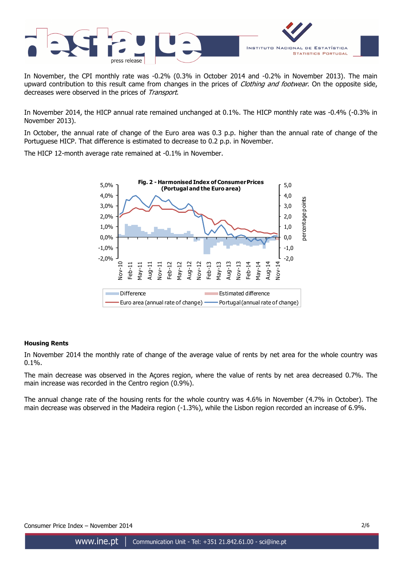

In November, the CPI monthly rate was -0.2% (0.3% in October 2014 and -0.2% in November 2013). The main upward contribution to this result came from changes in the prices of Clothing and footwear. On the opposite side, decreases were observed in the prices of Transport.

In November 2014, the HICP annual rate remained unchanged at 0.1%. The HICP monthly rate was -0.4% (-0.3% in November 2013).

In October, the annual rate of change of the Euro area was 0.3 p.p. higher than the annual rate of change of the Portuguese HICP. That difference is estimated to decrease to 0.2 p.p. in November.

The HICP 12-month average rate remained at -0.1% in November.



## **Housing Rents**

In November 2014 the monthly rate of change of the average value of rents by net area for the whole country was 0.1%.

The main decrease was observed in the Açores region, where the value of rents by net area decreased 0.7%. The main increase was recorded in the Centro region (0.9%).

The annual change rate of the housing rents for the whole country was 4.6% in November (4.7% in October). The main decrease was observed in the Madeira region (-1.3%), while the Lisbon region recorded an increase of 6.9%.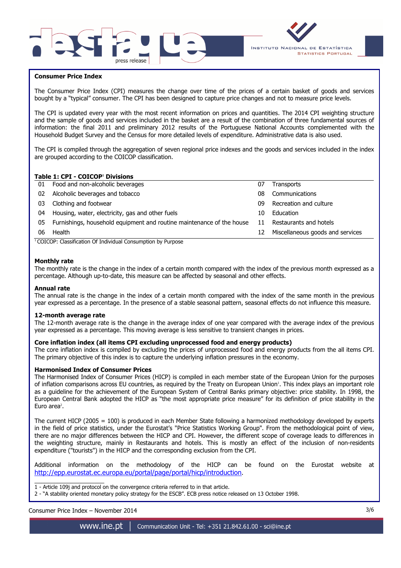



## **Consumer Price Index**

I

The Consumer Price Index (CPI) measures the change over time of the prices of a certain basket of goods and services bought by a "typical" consumer. The CPI has been designed to capture price changes and not to measure price levels.

The CPI is updated every year with the most recent information on prices and quantities. The 2014 CPI weighting structure and the sample of goods and services included in the basket are a result of the combination of three fundamental sources of information: the final 2011 and preliminary 2012 results of the Portuguese National Accounts complemented with the Household Budget Survey and the Census for more detailed levels of expenditure. Administrative data is also used.

The CPI is compiled through the aggregation of seven regional price indexes and the goods and services included in the index are grouped according to the COICOP classification.

#### **Table 1: CPI - COICOP<sup>1</sup> Divisions**

| 01 | Food and non-alcoholic beverages                                      | 07 | <b>Transports</b>                |
|----|-----------------------------------------------------------------------|----|----------------------------------|
| 02 | Alcoholic beverages and tobacco                                       | 08 | Communications                   |
| 03 | Clothing and footwear                                                 | 09 | Recreation and culture           |
| 04 | Housing, water, electricity, gas and other fuels                      | 10 | Education                        |
| 05 | Furnishings, household equipment and routine maintenance of the house | 11 | Restaurants and hotels           |
| 06 | Health                                                                | 12 | Miscellaneous goods and services |
|    | $\cdots$<br>$\cdots$<br>$\sim$                                        |    |                                  |

<sup>1</sup> COICOP: Classification Of Individual Consumption by Purpose

### **Monthly rate**

The monthly rate is the change in the index of a certain month compared with the index of the previous month expressed as a percentage. Although up-to-date, this measure can be affected by seasonal and other effects.

#### **Annual rate**

The annual rate is the change in the index of a certain month compared with the index of the same month in the previous year expressed as a percentage. In the presence of a stable seasonal pattern, seasonal effects do not influence this measure.

#### **12-month average rate**

The 12-month average rate is the change in the average index of one year compared with the average index of the previous year expressed as a percentage. This moving average is less sensitive to transient changes in prices.

#### **Core inflation index (all items CPI excluding unprocessed food and energy products)**

The core inflation index is compiled by excluding the prices of unprocessed food and energy products from the all items CPI. The primary objective of this index is to capture the underlying inflation pressures in the economy.

#### **Harmonised Index of Consumer Prices**

The Harmonised Index of Consumer Prices (HICP) is compiled in each member state of the European Union for the purposes of inflation comparisons across EU countries, as required by the Treaty on European Union'. This index plays an important role as a guideline for the achievement of the European System of Central Banks primary objective: price stability. In 1998, the European Central Bank adopted the HICP as "the most appropriate price measure" for its definition of price stability in the Euro area<sup>2</sup>.

The current HICP (2005 = 100) is produced in each Member State following a harmonized methodology developed by experts in the field of price statistics, under the Eurostat's "Price Statistics Working Group". From the methodological point of view, there are no major differences between the HICP and CPI. However, the different scope of coverage leads to differences in the weighting structure, mainly in Restaurants and hotels. This is mostly an effect of the inclusion of non-residents expenditure ("tourists") in the HICP and the corresponding exclusion from the CPI.

Additional information on the methodology of the HICP can be found on the Eurostat website at http://epp.eurostat.ec.europa.eu/portal/page/portal/hicp/introduction.

\_\_\_\_\_\_\_\_\_\_\_\_\_\_\_\_\_\_\_\_\_ 1 - Article 109j and protocol on the convergence criteria referred to in that article.

2 - "A stability oriented monetary policy strategy for the ESCB". ECB press notice released on 13 October 1998.

Consumer Price Index – November 2014 3/6

www.ine.pt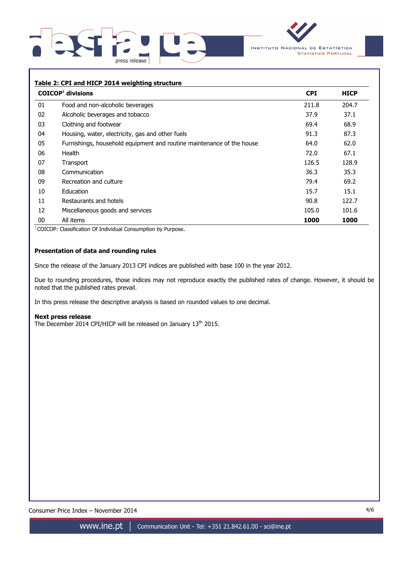



### **Table 2: CPI and HICP 2014 weighting structure**

|    | $COICOP1$ divisions                                                   | <b>CPI</b> | <b>HICP</b> |
|----|-----------------------------------------------------------------------|------------|-------------|
| 01 | Food and non-alcoholic beverages                                      | 211.8      | 204.7       |
| 02 | Alcoholic beverages and tobacco                                       | 37.9       | 37.1        |
| 03 | Clothing and footwear                                                 | 69.4       | 68.9        |
| 04 | Housing, water, electricity, gas and other fuels                      | 91.3       | 87.3        |
| 05 | Furnishings, household equipment and routine maintenance of the house | 64.0       | 62.0        |
| 06 | Health                                                                | 72.0       | 67.1        |
| 07 | Transport                                                             | 126.5      | 128.9       |
| 08 | Communication                                                         | 36.3       | 35.3        |
| 09 | Recreation and culture                                                | 79.4       | 69.2        |
| 10 | Education                                                             | 15.7       | 15.1        |
| 11 | Restaurants and hotels                                                | 90.8       | 122.7       |
| 12 | Miscellaneous goods and services                                      | 105.0      | 101.6       |
| 00 | All items                                                             | 1000       | 1000        |

<sup>1</sup> COICOP: Classification Of Individual Consumption by Purpose.

## **Presentation of data and rounding rules**

Since the release of the January 2013 CPI indices are published with base 100 in the year 2012.

Due to rounding procedures, those indices may not reproduce exactly the published rates of change. However, it should be noted that the published rates prevail.

In this press release the descriptive analysis is based on rounded values to one decimal.

#### **Next press release**

The December 2014 CPI/HICP will be released on January 13<sup>th</sup> 2015.

Consumer Price Index – November 2014 4/6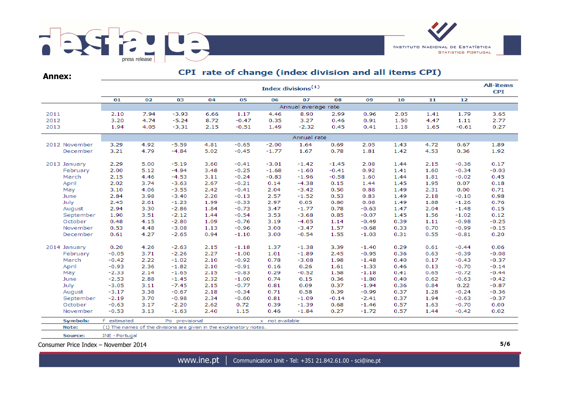

**Annex:**

# CPI rate of change (index division and all items CPI)

|                 |                |      |                                                                    |      |         |                 | Index divisions $(1)$ |         |         |      |      |         | <b>All-items</b><br><b>CPI</b> |
|-----------------|----------------|------|--------------------------------------------------------------------|------|---------|-----------------|-----------------------|---------|---------|------|------|---------|--------------------------------|
|                 | 01             | 02   | 03                                                                 | 04   | 05      | 06              | 07                    | 08      | 09      | 10   | 11   | 12      |                                |
|                 |                |      |                                                                    |      |         |                 | Annual average rate   |         |         |      |      |         |                                |
| 2011            | 2.10           | 7.94 | $-3.93$                                                            | 6.66 | 1.17    | 4.46            | 8.90                  | 2.99    | 0.96    | 2.05 | 1.41 | 1.79    | 3.65                           |
| 2012            | 3.20           | 4.74 | $-5.24$                                                            | 8.72 | $-0.47$ | 0.35            | 3.27                  | 0.46    | 0.91    | 1.50 | 4.47 | 1.11    | 2.77                           |
| 2013            | 1.94           | 4.05 | $-3.31$                                                            | 2.15 | $-0.51$ | 1.49            | $-2.32$               | 0.45    | 0.41    | 1.18 | 1.65 | $-0.61$ | 0.27                           |
|                 |                |      |                                                                    |      |         |                 | Annual rate           |         |         |      |      |         |                                |
| 2012 November   | 3.29           | 4.92 | $-5.59$                                                            | 4.81 | $-0.65$ | $-2.00$         | 1.64                  | 0.69    | 2.05    | 1.43 | 4.72 | 0.67    | 1.89                           |
| December        | 3.21           | 4.79 | $-4.84$                                                            | 5.02 | $-0.45$ | $-1.77$         | 1.67                  | 0.78    | 1.81    | 1.42 | 4.53 | 0.36    | 1.92                           |
| 2013 January    | 2.29           | 5.00 | $-5.19$                                                            | 3.60 | $-0.41$ | $-3.01$         | $-1.42$               | $-1.45$ | 2.08    | 1.44 | 2.15 | $-0.36$ | 0.17                           |
| February        | 2.00           | 5.12 | $-4.94$                                                            | 3.48 | $-0.25$ | $-1.68$         | $-1.60$               | $-0.41$ | 0.92    | 1.41 | 1.60 | $-0.34$ | $-0.03$                        |
| March           | 2.15           | 4.46 | $-4.53$                                                            | 3.11 | $-0.24$ | $-0.83$         | $-1.96$               | $-0.58$ | 1.60    | 1.44 | 1.81 | $-0.02$ | 0.45                           |
| April           | 2.02           | 3.74 | $-3.63$                                                            | 2.67 | $-0.21$ | 0.14            | $-4.38$               | 0.15    | 1.44    | 1.45 | 1.95 | 0.07    | 0.18                           |
| May             | 3.10           | 4.06 | $-3.55$                                                            | 2.42 | $-0.41$ | 2.04            | $-3.42$               | 0.50    | 0.88    | 1.49 | 2.31 | 0.00    | 0.71                           |
| June            | 2.84           | 3.98 | $-3.40$                                                            | 2.20 | $-0.13$ | 2.57            | $-1.52$               | 0.53    | 0.83    | 1.49 | 2.18 | $-0.10$ | 0.98                           |
| July            | 2.45           | 2.61 | $-1.23$                                                            | 1.99 | $-0.33$ | 2.97            | 0.05                  | 0.80    | 0.08    | 1.49 | 1.88 | $-1.26$ | 0.76                           |
| August          | 2.94           | 3.30 | $-2.86$                                                            | 1.84 | $-0.73$ | 3.47            | $-1.77$               | 0.78    | $-0.63$ | 1.47 | 2.04 | $-1.48$ | 0.15                           |
| September       | 1.90           | 3.51 | $-2.12$                                                            | 1.44 | $-0.54$ | 3.53            | $-3.68$               | 0.85    | $-0.07$ | 1.45 | 1.56 | $-1.02$ | 0.12                           |
| October         | 0.48           | 4.15 | $-2.80$                                                            | 1.09 | $-0.76$ | 3.19            | $-4.05$               | 1.14    | $-0.49$ | 0.39 | 1.11 | $-0.98$ | $-0.25$                        |
| November        | 0.53           | 4.48 | $-3.08$                                                            | 1.13 | $-0.96$ | 3.00            | $-3.47$               | 1.57    | $-0.68$ | 0.33 | 0.70 | $-0.99$ | $-0.15$                        |
| December        | 0.61           | 4.27 | $-2.65$                                                            | 0.94 | $-1.10$ | 3.00            | $-0.54$               | 1.55    | $-1.03$ | 0.31 | 0.55 | $-0.81$ | 0.20                           |
| 2014 January    | 0.20           | 4.26 | $-2.63$                                                            | 2.15 | $-1.18$ | 1.37            | $-1.38$               | 3.39    | $-1.40$ | 0.29 | 0.61 | $-0.44$ | 0.06                           |
| February        | $-0.05$        | 3.71 | $-2.26$                                                            | 2.27 | $-1.00$ | 1.01            | $-1.89$               | 2.45    | $-0.95$ | 0.36 | 0.63 | $-0.39$ | $-0.08$                        |
| March           | $-0.42$        | 2.22 | $-1.02$                                                            | 2.10 | $-0.92$ | 0.78            | $-3.08$               | 1.98    | $-1.48$ | 0.40 | 0.17 | $-0.43$ | $-0.37$                        |
| April           | $-0.93$        | 2.36 | $-1.82$                                                            | 2.10 | $-0.91$ | 0.16            | 0.26                  | 1.61    | $-1.33$ | 0.46 | 0.13 | $-0.70$ | $-0.14$                        |
| May             | $-2.33$        | 2.14 | $-1.65$                                                            | 2.15 | $-0.83$ | 0.29            | $-0.52$               | 1.58    | $-1.18$ | 0.41 | 0.65 | $-0.72$ | $-0.44$                        |
| June            | $-2.53$        | 2.88 | $-1.45$                                                            | 2.32 | $-1.00$ | 0.74            | 0.15                  | 0.36    | $-1.80$ | 0.40 | 0.62 | $-0.63$ | $-0.42$                        |
| July            | $-3.05$        | 3.11 | $-7.45$                                                            | 2.15 | $-0.77$ | 0.81            | 0.09                  | 0.37    | $-1.94$ | 0.36 | 0.84 | 0.22    | $-0.87$                        |
| August          | $-3.17$        | 3.38 | $-0.67$                                                            | 2.18 | $-0.34$ | 0.71            | 0.58                  | 0.39    | $-0.99$ | 0.37 | 1.28 | $-0.24$ | $-0.36$                        |
| September       | $-2.19$        | 3.70 | $-0.98$                                                            | 2.34 | $-0.60$ | 0.81            | $-1.09$               | $-0.14$ | $-2.41$ | 0.37 | 1.94 | $-0.63$ | $-0.37$                        |
| October         | $-0.63$        | 3.17 | $-2.20$                                                            | 2.62 | 0.72    | 0.39            | $-1.39$               | 0.68    | $-1.46$ | 0.57 | 1.63 | $-0.70$ | 0.00                           |
| November        | $-0.53$        | 3.13 | $-1.63$                                                            | 2.40 | 1.15    | 0.46            | $-1.84$               | 0.27    | $-1.72$ | 0.57 | 1.44 | $-0.42$ | 0.02                           |
| <b>Symbols:</b> | f estimated    |      | Po provisional                                                     |      |         | x not available |                       |         |         |      |      |         |                                |
| Note:           |                |      | (1) The names of the divisions are given in the explanatory notes. |      |         |                 |                       |         |         |      |      |         |                                |
| Source:         | INE - Portugal |      |                                                                    |      |         |                 |                       |         |         |      |      |         |                                |

Consumer Price Index – November 2014 **5/6**